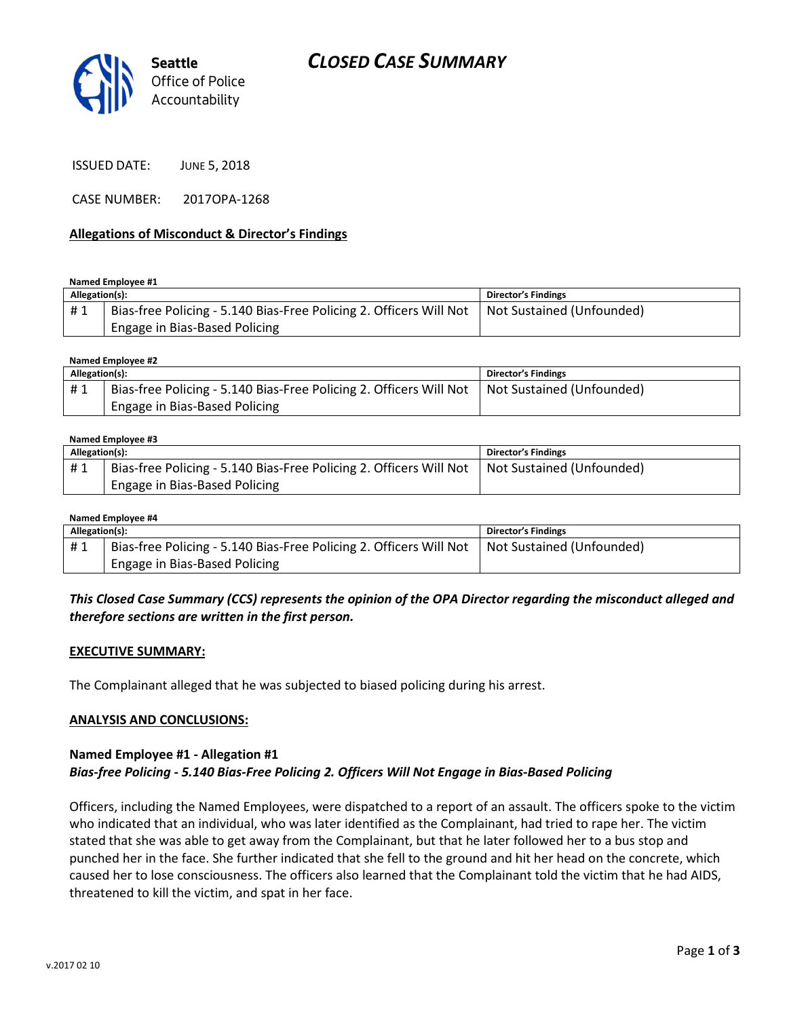

ISSUED DATE: JUNE 5, 2018

CASE NUMBER: 2017OPA-1268

#### Allegations of Misconduct & Director's Findings

#### Named Employee #1

| Allegation(s): |                                                                                                | Director's Findings |
|----------------|------------------------------------------------------------------------------------------------|---------------------|
| #1             | Bias-free Policing - 5.140 Bias-Free Policing 2. Officers Will Not   Not Sustained (Unfounded) |                     |
|                | Engage in Bias-Based Policing                                                                  |                     |

Named Employee #2

| Allegation(s): |                                                                                                | <b>Director's Findings</b> |
|----------------|------------------------------------------------------------------------------------------------|----------------------------|
| #1             | Bias-free Policing - 5.140 Bias-Free Policing 2. Officers Will Not   Not Sustained (Unfounded) |                            |
|                | Engage in Bias-Based Policing                                                                  |                            |

#### Named Employee #3

| Allegation(s): |                                                                    | <b>Director's Findings</b> |
|----------------|--------------------------------------------------------------------|----------------------------|
| #1             | Bias-free Policing - 5.140 Bias-Free Policing 2. Officers Will Not | Not Sustained (Unfounded)  |
|                | Engage in Bias-Based Policing                                      |                            |

#### Named Employee #4

| Allegation(s): |                                                                                                | <b>Director's Findings</b> |
|----------------|------------------------------------------------------------------------------------------------|----------------------------|
| #1             | Bias-free Policing - 5.140 Bias-Free Policing 2. Officers Will Not   Not Sustained (Unfounded) |                            |
|                | Engage in Bias-Based Policing                                                                  |                            |

## This Closed Case Summary (CCS) represents the opinion of the OPA Director regarding the misconduct alleged and therefore sections are written in the first person.

#### EXECUTIVE SUMMARY:

The Complainant alleged that he was subjected to biased policing during his arrest.

#### ANALYSIS AND CONCLUSIONS:

#### Named Employee #1 - Allegation #1 Bias-free Policing - 5.140 Bias-Free Policing 2. Officers Will Not Engage in Bias-Based Policing

Officers, including the Named Employees, were dispatched to a report of an assault. The officers spoke to the victim who indicated that an individual, who was later identified as the Complainant, had tried to rape her. The victim stated that she was able to get away from the Complainant, but that he later followed her to a bus stop and punched her in the face. She further indicated that she fell to the ground and hit her head on the concrete, which caused her to lose consciousness. The officers also learned that the Complainant told the victim that he had AIDS, threatened to kill the victim, and spat in her face.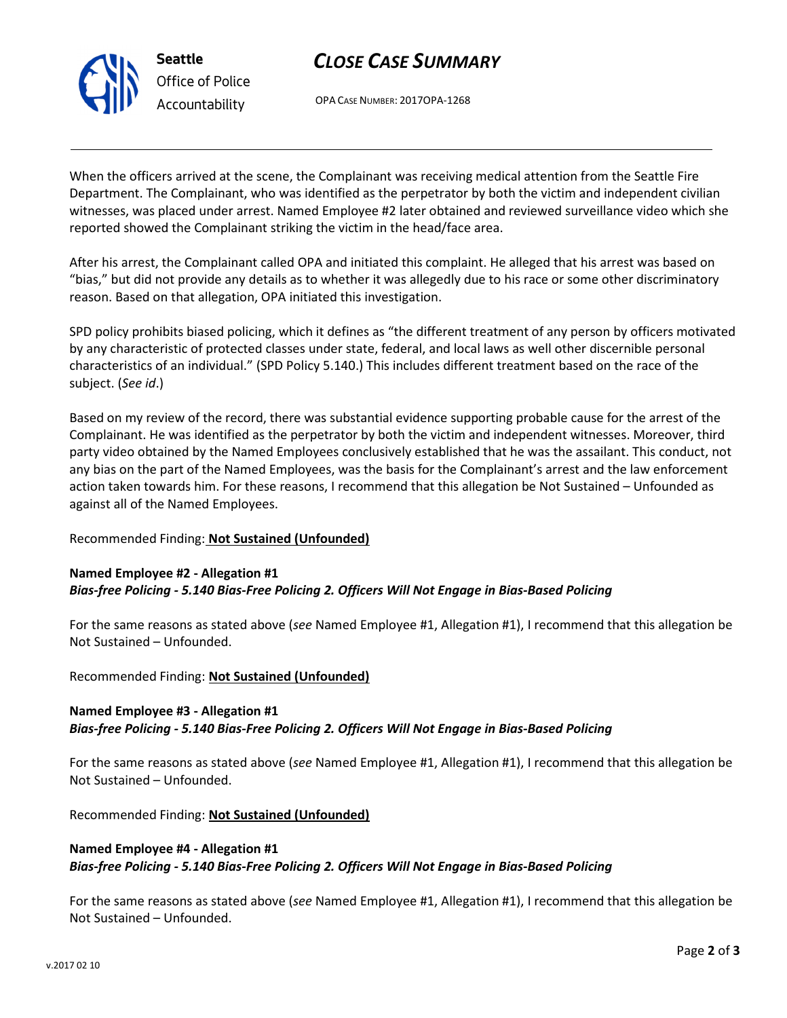

# CLOSE CASE SUMMARY

OPA CASE NUMBER: 2017OPA-1268

When the officers arrived at the scene, the Complainant was receiving medical attention from the Seattle Fire Department. The Complainant, who was identified as the perpetrator by both the victim and independent civilian witnesses, was placed under arrest. Named Employee #2 later obtained and reviewed surveillance video which she reported showed the Complainant striking the victim in the head/face area.

After his arrest, the Complainant called OPA and initiated this complaint. He alleged that his arrest was based on "bias," but did not provide any details as to whether it was allegedly due to his race or some other discriminatory reason. Based on that allegation, OPA initiated this investigation.

SPD policy prohibits biased policing, which it defines as "the different treatment of any person by officers motivated by any characteristic of protected classes under state, federal, and local laws as well other discernible personal characteristics of an individual." (SPD Policy 5.140.) This includes different treatment based on the race of the subject. (See id.)

Based on my review of the record, there was substantial evidence supporting probable cause for the arrest of the Complainant. He was identified as the perpetrator by both the victim and independent witnesses. Moreover, third party video obtained by the Named Employees conclusively established that he was the assailant. This conduct, not any bias on the part of the Named Employees, was the basis for the Complainant's arrest and the law enforcement action taken towards him. For these reasons, I recommend that this allegation be Not Sustained – Unfounded as against all of the Named Employees.

# Recommended Finding: Not Sustained (Unfounded)

#### Named Employee #2 - Allegation #1 Bias-free Policing - 5.140 Bias-Free Policing 2. Officers Will Not Engage in Bias-Based Policing

For the same reasons as stated above (see Named Employee #1, Allegation #1), I recommend that this allegation be Not Sustained – Unfounded.

Recommended Finding: Not Sustained (Unfounded)

#### Named Employee #3 - Allegation #1

Bias-free Policing - 5.140 Bias-Free Policing 2. Officers Will Not Engage in Bias-Based Policing

For the same reasons as stated above (see Named Employee #1, Allegation #1), I recommend that this allegation be Not Sustained – Unfounded.

Recommended Finding: Not Sustained (Unfounded)

## Named Employee #4 - Allegation #1 Bias-free Policing - 5.140 Bias-Free Policing 2. Officers Will Not Engage in Bias-Based Policing

For the same reasons as stated above (see Named Employee #1, Allegation #1), I recommend that this allegation be Not Sustained – Unfounded.